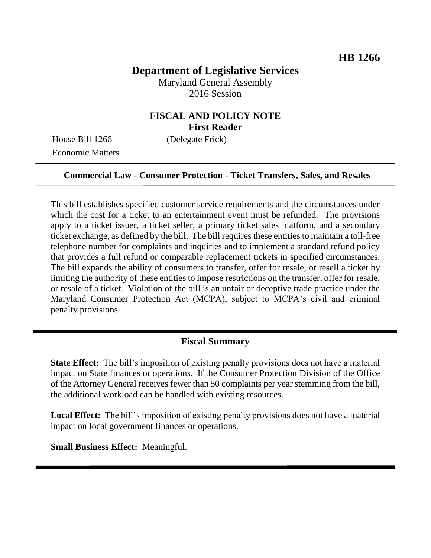# **Department of Legislative Services**

Maryland General Assembly 2016 Session

### **FISCAL AND POLICY NOTE First Reader**

House Bill 1266 (Delegate Frick) Economic Matters

#### **Commercial Law - Consumer Protection - Ticket Transfers, Sales, and Resales**

This bill establishes specified customer service requirements and the circumstances under which the cost for a ticket to an entertainment event must be refunded. The provisions apply to a ticket issuer, a ticket seller, a primary ticket sales platform, and a secondary ticket exchange, as defined by the bill. The bill requires these entities to maintain a toll-free telephone number for complaints and inquiries and to implement a standard refund policy that provides a full refund or comparable replacement tickets in specified circumstances. The bill expands the ability of consumers to transfer, offer for resale, or resell a ticket by limiting the authority of these entities to impose restrictions on the transfer, offer for resale, or resale of a ticket. Violation of the bill is an unfair or deceptive trade practice under the Maryland Consumer Protection Act (MCPA), subject to MCPA's civil and criminal penalty provisions.

#### **Fiscal Summary**

**State Effect:** The bill's imposition of existing penalty provisions does not have a material impact on State finances or operations. If the Consumer Protection Division of the Office of the Attorney General receives fewer than 50 complaints per year stemming from the bill, the additional workload can be handled with existing resources.

**Local Effect:** The bill's imposition of existing penalty provisions does not have a material impact on local government finances or operations.

**Small Business Effect:** Meaningful.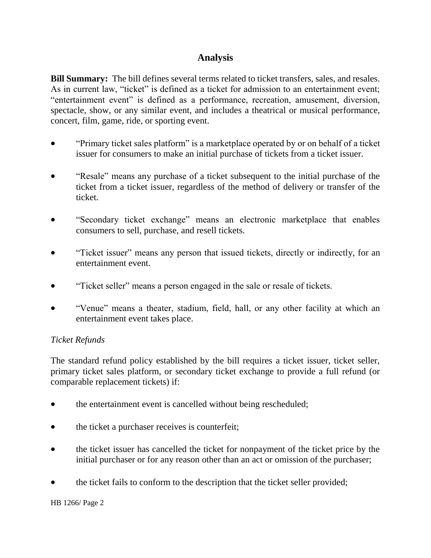## **Analysis**

**Bill Summary:** The bill defines several terms related to ticket transfers, sales, and resales. As in current law, "ticket" is defined as a ticket for admission to an entertainment event; "entertainment event" is defined as a performance, recreation, amusement, diversion, spectacle, show, or any similar event, and includes a theatrical or musical performance, concert, film, game, ride, or sporting event.

- "Primary ticket sales platform" is a marketplace operated by or on behalf of a ticket issuer for consumers to make an initial purchase of tickets from a ticket issuer.
- "Resale" means any purchase of a ticket subsequent to the initial purchase of the ticket from a ticket issuer, regardless of the method of delivery or transfer of the ticket.
- "Secondary ticket exchange" means an electronic marketplace that enables consumers to sell, purchase, and resell tickets.
- "Ticket issuer" means any person that issued tickets, directly or indirectly, for an entertainment event.
- "Ticket seller" means a person engaged in the sale or resale of tickets.
- "Venue" means a theater, stadium, field, hall, or any other facility at which an entertainment event takes place.

### *Ticket Refunds*

The standard refund policy established by the bill requires a ticket issuer, ticket seller, primary ticket sales platform, or secondary ticket exchange to provide a full refund (or comparable replacement tickets) if:

- the entertainment event is cancelled without being rescheduled;
- the ticket a purchaser receives is counterfeit;
- the ticket issuer has cancelled the ticket for nonpayment of the ticket price by the initial purchaser or for any reason other than an act or omission of the purchaser;
- the ticket fails to conform to the description that the ticket seller provided;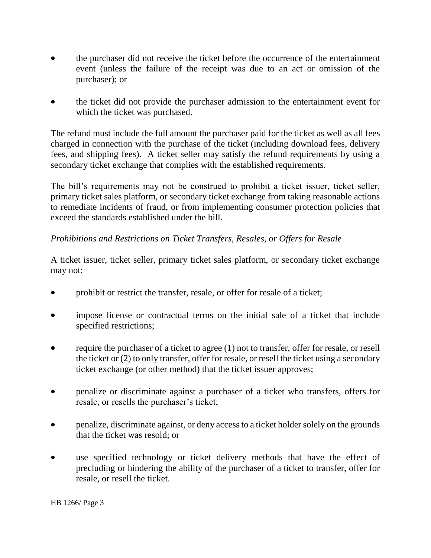- the purchaser did not receive the ticket before the occurrence of the entertainment event (unless the failure of the receipt was due to an act or omission of the purchaser); or
- the ticket did not provide the purchaser admission to the entertainment event for which the ticket was purchased.

The refund must include the full amount the purchaser paid for the ticket as well as all fees charged in connection with the purchase of the ticket (including download fees, delivery fees, and shipping fees). A ticket seller may satisfy the refund requirements by using a secondary ticket exchange that complies with the established requirements.

The bill's requirements may not be construed to prohibit a ticket issuer, ticket seller, primary ticket sales platform, or secondary ticket exchange from taking reasonable actions to remediate incidents of fraud, or from implementing consumer protection policies that exceed the standards established under the bill.

### *Prohibitions and Restrictions on Ticket Transfers, Resales, or Offers for Resale*

A ticket issuer, ticket seller, primary ticket sales platform, or secondary ticket exchange may not:

- prohibit or restrict the transfer, resale, or offer for resale of a ticket;
- impose license or contractual terms on the initial sale of a ticket that include specified restrictions;
- require the purchaser of a ticket to agree (1) not to transfer, offer for resale, or resell the ticket or (2) to only transfer, offer for resale, or resell the ticket using a secondary ticket exchange (or other method) that the ticket issuer approves;
- penalize or discriminate against a purchaser of a ticket who transfers, offers for resale, or resells the purchaser's ticket;
- penalize, discriminate against, or deny access to a ticket holder solely on the grounds that the ticket was resold; or
- use specified technology or ticket delivery methods that have the effect of precluding or hindering the ability of the purchaser of a ticket to transfer, offer for resale, or resell the ticket.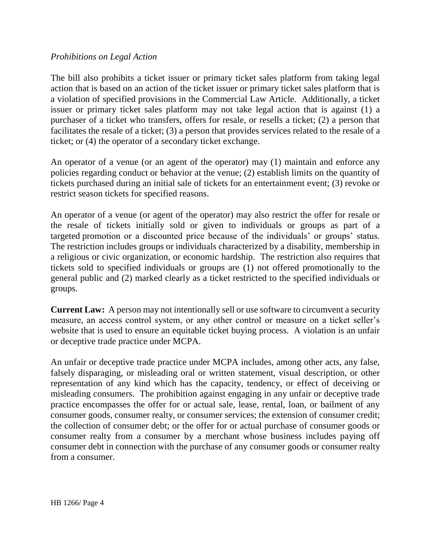### *Prohibitions on Legal Action*

The bill also prohibits a ticket issuer or primary ticket sales platform from taking legal action that is based on an action of the ticket issuer or primary ticket sales platform that is a violation of specified provisions in the Commercial Law Article. Additionally, a ticket issuer or primary ticket sales platform may not take legal action that is against (1) a purchaser of a ticket who transfers, offers for resale, or resells a ticket; (2) a person that facilitates the resale of a ticket; (3) a person that provides services related to the resale of a ticket; or (4) the operator of a secondary ticket exchange.

An operator of a venue (or an agent of the operator) may (1) maintain and enforce any policies regarding conduct or behavior at the venue; (2) establish limits on the quantity of tickets purchased during an initial sale of tickets for an entertainment event; (3) revoke or restrict season tickets for specified reasons.

An operator of a venue (or agent of the operator) may also restrict the offer for resale or the resale of tickets initially sold or given to individuals or groups as part of a targeted promotion or a discounted price because of the individuals' or groups' status. The restriction includes groups or individuals characterized by a disability, membership in a religious or civic organization, or economic hardship. The restriction also requires that tickets sold to specified individuals or groups are (1) not offered promotionally to the general public and (2) marked clearly as a ticket restricted to the specified individuals or groups.

**Current Law:** A person may not intentionally sell or use software to circumvent a security measure, an access control system, or any other control or measure on a ticket seller's website that is used to ensure an equitable ticket buying process. A violation is an unfair or deceptive trade practice under MCPA.

An unfair or deceptive trade practice under MCPA includes, among other acts, any false, falsely disparaging, or misleading oral or written statement, visual description, or other representation of any kind which has the capacity, tendency, or effect of deceiving or misleading consumers. The prohibition against engaging in any unfair or deceptive trade practice encompasses the offer for or actual sale, lease, rental, loan, or bailment of any consumer goods, consumer realty, or consumer services; the extension of consumer credit; the collection of consumer debt; or the offer for or actual purchase of consumer goods or consumer realty from a consumer by a merchant whose business includes paying off consumer debt in connection with the purchase of any consumer goods or consumer realty from a consumer.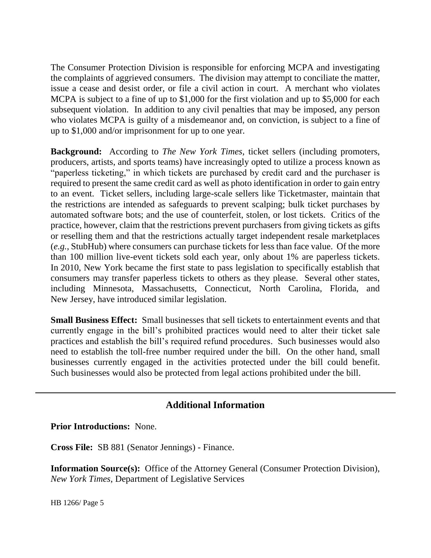The Consumer Protection Division is responsible for enforcing MCPA and investigating the complaints of aggrieved consumers. The division may attempt to conciliate the matter, issue a cease and desist order, or file a civil action in court. A merchant who violates MCPA is subject to a fine of up to \$1,000 for the first violation and up to \$5,000 for each subsequent violation. In addition to any civil penalties that may be imposed, any person who violates MCPA is guilty of a misdemeanor and, on conviction, is subject to a fine of up to \$1,000 and/or imprisonment for up to one year.

**Background:** According to *The New York Times*, ticket sellers (including promoters, producers, artists, and sports teams) have increasingly opted to utilize a process known as "paperless ticketing," in which tickets are purchased by credit card and the purchaser is required to present the same credit card as well as photo identification in order to gain entry to an event. Ticket sellers, including large-scale sellers like Ticketmaster, maintain that the restrictions are intended as safeguards to prevent scalping; bulk ticket purchases by automated software bots; and the use of counterfeit, stolen, or lost tickets. Critics of the practice, however, claim that the restrictions prevent purchasers from giving tickets as gifts or reselling them and that the restrictions actually target independent resale marketplaces (*e.g.*, StubHub) where consumers can purchase tickets for less than face value. Of the more than 100 million live-event tickets sold each year, only about 1% are paperless tickets. In 2010, New York became the first state to pass legislation to specifically establish that consumers may transfer paperless tickets to others as they please. Several other states, including Minnesota, Massachusetts, Connecticut, North Carolina, Florida, and New Jersey, have introduced similar legislation.

**Small Business Effect:** Small businesses that sell tickets to entertainment events and that currently engage in the bill's prohibited practices would need to alter their ticket sale practices and establish the bill's required refund procedures. Such businesses would also need to establish the toll-free number required under the bill. On the other hand, small businesses currently engaged in the activities protected under the bill could benefit. Such businesses would also be protected from legal actions prohibited under the bill.

## **Additional Information**

**Prior Introductions:** None.

**Cross File:** SB 881 (Senator Jennings) - Finance.

**Information Source(s):** Office of the Attorney General (Consumer Protection Division), *New York Times*, Department of Legislative Services

HB 1266/ Page 5